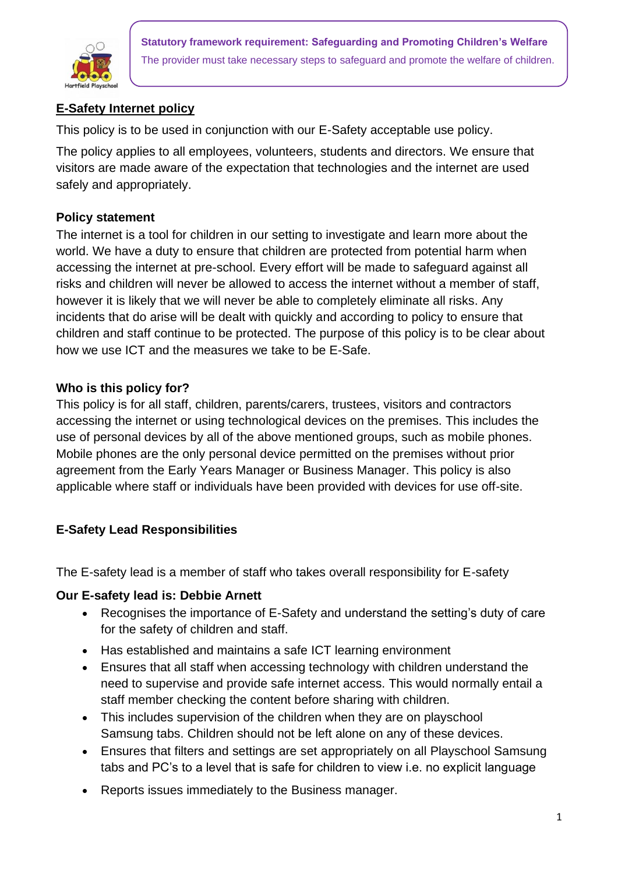

**Statutory framework requirement: Safeguarding and Promoting Children's Welfare** The provider must take necessary steps to safeguard and promote the welfare of children.

# **E-Safety Internet policy**

This policy is to be used in conjunction with our E-Safety acceptable use policy.

The policy applies to all employees, volunteers, students and directors. We ensure that visitors are made aware of the expectation that technologies and the internet are used safely and appropriately.

### **Policy statement**

The internet is a tool for children in our setting to investigate and learn more about the world. We have a duty to ensure that children are protected from potential harm when accessing the internet at pre-school. Every effort will be made to safeguard against all risks and children will never be allowed to access the internet without a member of staff, however it is likely that we will never be able to completely eliminate all risks. Any incidents that do arise will be dealt with quickly and according to policy to ensure that children and staff continue to be protected. The purpose of this policy is to be clear about how we use ICT and the measures we take to be E-Safe.

### **Who is this policy for?**

This policy is for all staff, children, parents/carers, trustees, visitors and contractors accessing the internet or using technological devices on the premises. This includes the use of personal devices by all of the above mentioned groups, such as mobile phones. Mobile phones are the only personal device permitted on the premises without prior agreement from the Early Years Manager or Business Manager. This policy is also applicable where staff or individuals have been provided with devices for use off-site.

## **E-Safety Lead Responsibilities**

The E-safety lead is a member of staff who takes overall responsibility for E-safety

## **Our E-safety lead is: Debbie Arnett**

- Recognises the importance of E-Safety and understand the setting's duty of care for the safety of children and staff.
- Has established and maintains a safe ICT learning environment
- Ensures that all staff when accessing technology with children understand the need to supervise and provide safe internet access. This would normally entail a staff member checking the content before sharing with children.
- This includes supervision of the children when they are on playschool Samsung tabs. Children should not be left alone on any of these devices.
- Ensures that filters and settings are set appropriately on all Playschool Samsung tabs and PC's to a level that is safe for children to view i.e. no explicit language
- Reports issues immediately to the Business manager.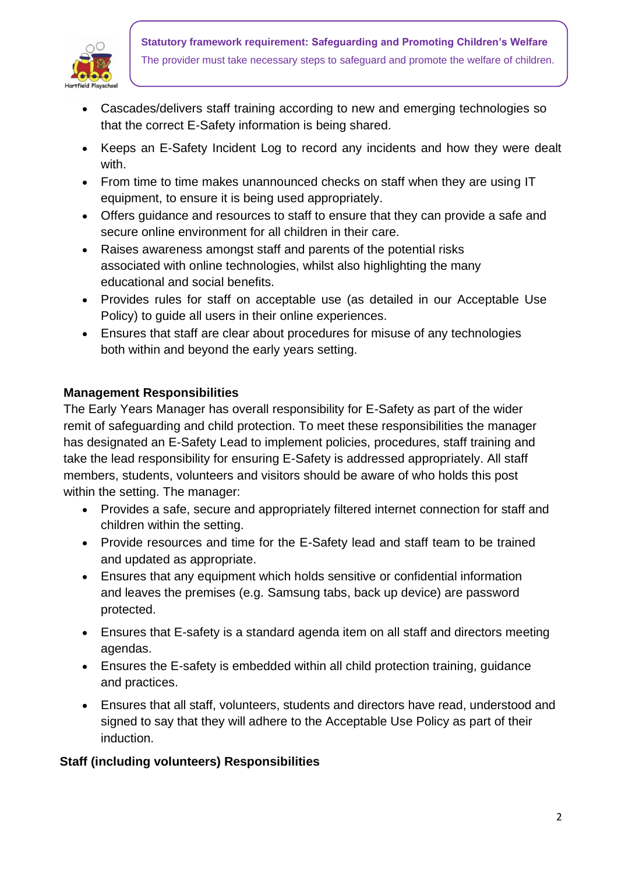

- Cascades/delivers staff training according to new and emerging technologies so that the correct E-Safety information is being shared.
- Keeps an E-Safety Incident Log to record any incidents and how they were dealt with.
- From time to time makes unannounced checks on staff when they are using IT equipment, to ensure it is being used appropriately.
- Offers guidance and resources to staff to ensure that they can provide a safe and secure online environment for all children in their care.
- Raises awareness amongst staff and parents of the potential risks associated with online technologies, whilst also highlighting the many educational and social benefits.
- Provides rules for staff on acceptable use (as detailed in our Acceptable Use Policy) to guide all users in their online experiences.
- Ensures that staff are clear about procedures for misuse of any technologies both within and beyond the early years setting.

# **Management Responsibilities**

The Early Years Manager has overall responsibility for E-Safety as part of the wider remit of safeguarding and child protection. To meet these responsibilities the manager has designated an E-Safety Lead to implement policies, procedures, staff training and take the lead responsibility for ensuring E-Safety is addressed appropriately. All staff members, students, volunteers and visitors should be aware of who holds this post within the setting. The manager:

- Provides a safe, secure and appropriately filtered internet connection for staff and children within the setting.
- Provide resources and time for the E-Safety lead and staff team to be trained and updated as appropriate.
- Ensures that any equipment which holds sensitive or confidential information and leaves the premises (e.g. Samsung tabs, back up device) are password protected.
- Ensures that E-safety is a standard agenda item on all staff and directors meeting agendas.
- Ensures the E-safety is embedded within all child protection training, guidance and practices.
- Ensures that all staff, volunteers, students and directors have read, understood and signed to say that they will adhere to the Acceptable Use Policy as part of their induction.

## **Staff (including volunteers) Responsibilities**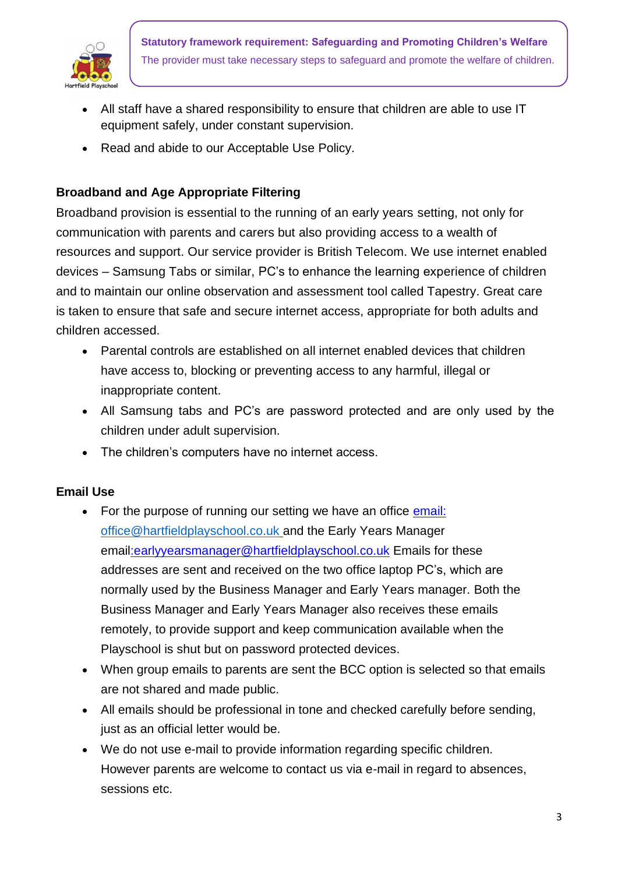

- All staff have a shared responsibility to ensure that children are able to use IT equipment safely, under constant supervision.
- Read and abide to our Acceptable Use Policy.

# **Broadband and Age Appropriate Filtering**

Broadband provision is essential to the running of an early years setting, not only for communication with parents and carers but also providing access to a wealth of resources and support. Our service provider is British Telecom. We use internet enabled devices – Samsung Tabs or similar, PC's to enhance the learning experience of children and to maintain our online observation and assessment tool called Tapestry. Great care is taken to ensure that safe and secure internet access, appropriate for both adults and children accessed.

- Parental controls are established on all internet enabled devices that children have access to, blocking or preventing access to any harmful, illegal or inappropriate content.
- All Samsung tabs and PC's are password protected and are only used by the children under adult supervision.
- The children's computers have no internet access.

### **Email Use**

- For the purpose of running our setting we have an office [email:](mailto:office@rotherfieldpre) [office@hartfieldplayschool.co.uk](mailto:office@hartfieldplayschool.co.uk) and the Early Years Manager email:earlyyearsmanager@hartfieldplayschool.co.uk Emails for these addresses are sent and received on the two office laptop PC's, which are normally used by the Business Manager and Early Years manager. Both the Business Manager and Early Years Manager also receives these emails remotely, to provide support and keep communication available when the Playschool is shut but on password protected devices.
- When group emails to parents are sent the BCC option is selected so that emails are not shared and made public.
- All emails should be professional in tone and checked carefully before sending, just as an official letter would be.
- We do not use e-mail to provide information regarding specific children. However parents are welcome to contact us via e-mail in regard to absences, sessions etc.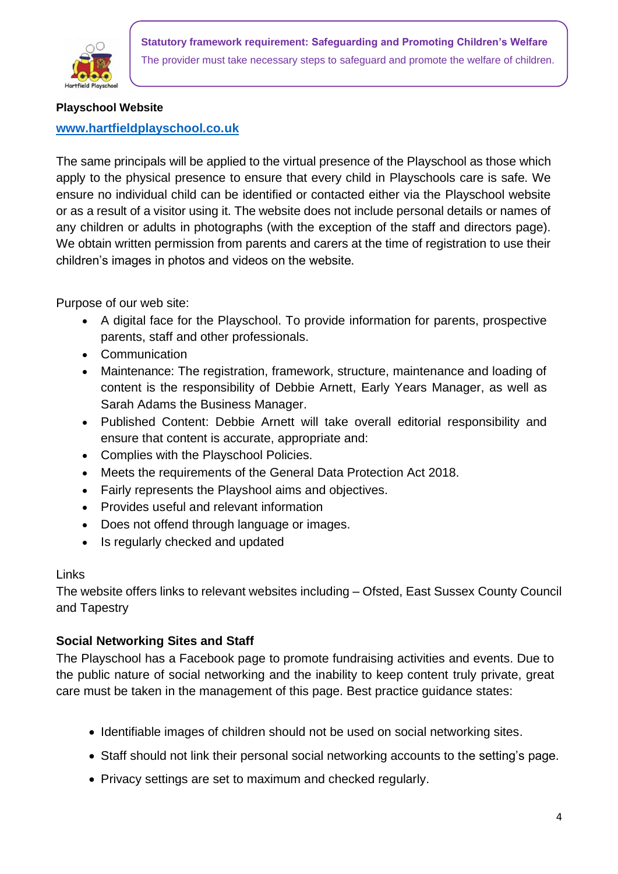

#### **Playschool Website**

### **[www.hartfieldplayschool.co.uk](http://www.hartfieldplayschool.co.uk/)**

The same principals will be applied to the virtual presence of the Playschool as those which apply to the physical presence to ensure that every child in Playschools care is safe. We ensure no individual child can be identified or contacted either via the Playschool website or as a result of a visitor using it. The website does not include personal details or names of any children or adults in photographs (with the exception of the staff and directors page). We obtain written permission from parents and carers at the time of registration to use their children's images in photos and videos on the website.

Purpose of our web site:

- A digital face for the Playschool. To provide information for parents, prospective parents, staff and other professionals.
- Communication
- Maintenance: The registration, framework, structure, maintenance and loading of content is the responsibility of Debbie Arnett, Early Years Manager, as well as Sarah Adams the Business Manager.
- Published Content: Debbie Arnett will take overall editorial responsibility and ensure that content is accurate, appropriate and:
- Complies with the Playschool Policies.
- Meets the requirements of the General Data Protection Act 2018.
- Fairly represents the Playshool aims and objectives.
- Provides useful and relevant information
- Does not offend through language or images.
- Is regularly checked and updated

### Links

The website offers links to relevant websites including – Ofsted, East Sussex County Council and Tapestry

## **Social Networking Sites and Staff**

The Playschool has a Facebook page to promote fundraising activities and events. Due to the public nature of social networking and the inability to keep content truly private, great care must be taken in the management of this page. Best practice guidance states:

- Identifiable images of children should not be used on social networking sites.
- Staff should not link their personal social networking accounts to the setting's page.
- Privacy settings are set to maximum and checked regularly.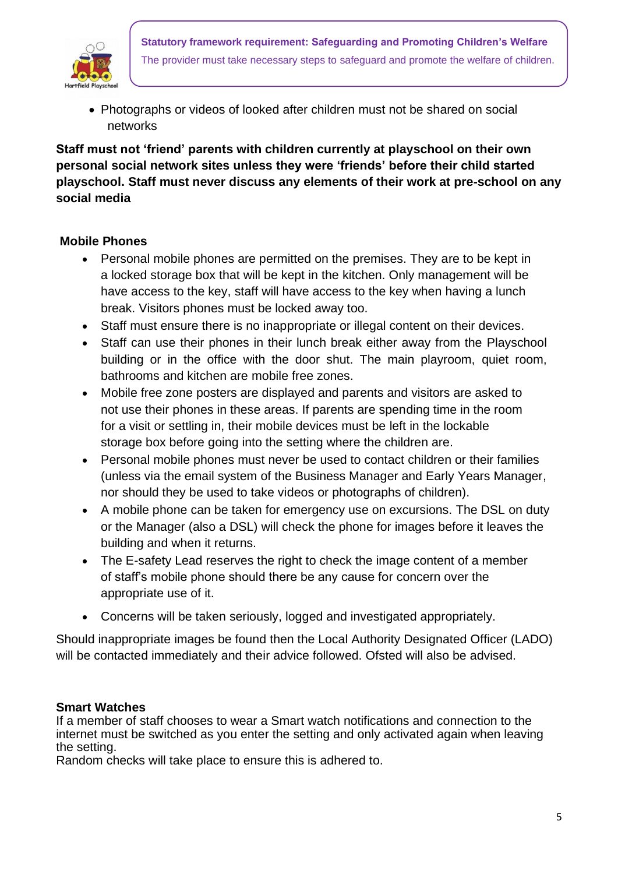

• Photographs or videos of looked after children must not be shared on social networks

# **Staff must not 'friend' parents with children currently at playschool on their own personal social network sites unless they were 'friends' before their child started playschool. Staff must never discuss any elements of their work at pre-school on any social media**

## **Mobile Phones**

- Personal mobile phones are permitted on the premises. They are to be kept in a locked storage box that will be kept in the kitchen. Only management will be have access to the key, staff will have access to the key when having a lunch break. Visitors phones must be locked away too.
- Staff must ensure there is no inappropriate or illegal content on their devices.
- Staff can use their phones in their lunch break either away from the Playschool building or in the office with the door shut. The main playroom, quiet room, bathrooms and kitchen are mobile free zones.
- Mobile free zone posters are displayed and parents and visitors are asked to not use their phones in these areas. If parents are spending time in the room for a visit or settling in, their mobile devices must be left in the lockable storage box before going into the setting where the children are.
- Personal mobile phones must never be used to contact children or their families (unless via the email system of the Business Manager and Early Years Manager, nor should they be used to take videos or photographs of children).
- A mobile phone can be taken for emergency use on excursions. The DSL on duty or the Manager (also a DSL) will check the phone for images before it leaves the building and when it returns.
- The E-safety Lead reserves the right to check the image content of a member of staff's mobile phone should there be any cause for concern over the appropriate use of it.
- Concerns will be taken seriously, logged and investigated appropriately.

Should inappropriate images be found then the Local Authority Designated Officer (LADO) will be contacted immediately and their advice followed. Ofsted will also be advised.

### **Smart Watches**

If a member of staff chooses to wear a Smart watch notifications and connection to the internet must be switched as you enter the setting and only activated again when leaving the setting.

Random checks will take place to ensure this is adhered to.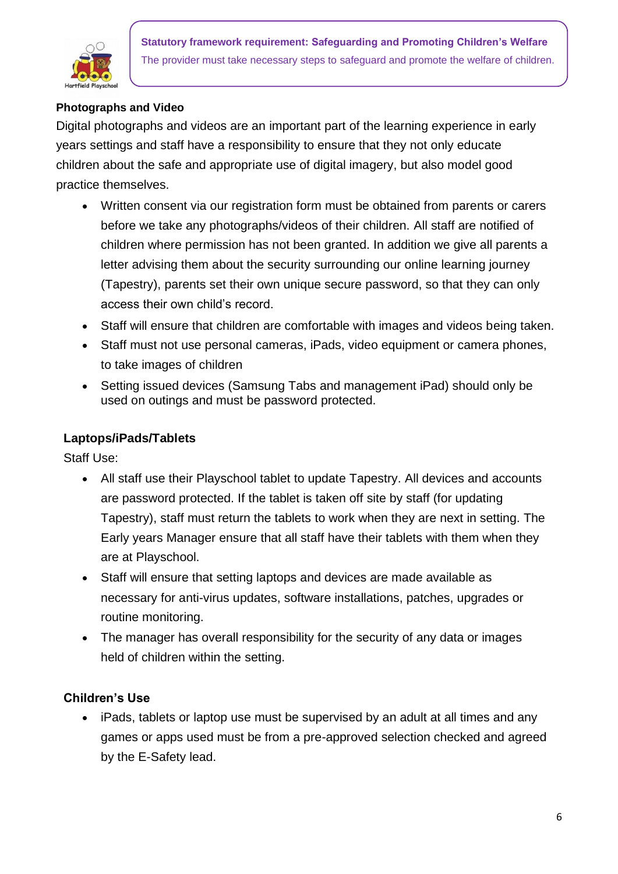

# **Photographs and Video**

Digital photographs and videos are an important part of the learning experience in early years settings and staff have a responsibility to ensure that they not only educate children about the safe and appropriate use of digital imagery, but also model good practice themselves.

- Written consent via our registration form must be obtained from parents or carers before we take any photographs/videos of their children. All staff are notified of children where permission has not been granted. In addition we give all parents a letter advising them about the security surrounding our online learning journey (Tapestry), parents set their own unique secure password, so that they can only access their own child's record.
- Staff will ensure that children are comfortable with images and videos being taken.
- Staff must not use personal cameras, iPads, video equipment or camera phones, to take images of children
- Setting issued devices (Samsung Tabs and management iPad) should only be used on outings and must be password protected.

## **Laptops/iPads/Tablets**

Staff Use:

- All staff use their Playschool tablet to update Tapestry. All devices and accounts are password protected. If the tablet is taken off site by staff (for updating Tapestry), staff must return the tablets to work when they are next in setting. The Early years Manager ensure that all staff have their tablets with them when they are at Playschool.
- Staff will ensure that setting laptops and devices are made available as necessary for anti-virus updates, software installations, patches, upgrades or routine monitoring.
- The manager has overall responsibility for the security of any data or images held of children within the setting.

## **Children's Use**

• iPads, tablets or laptop use must be supervised by an adult at all times and any games or apps used must be from a pre-approved selection checked and agreed by the E-Safety lead.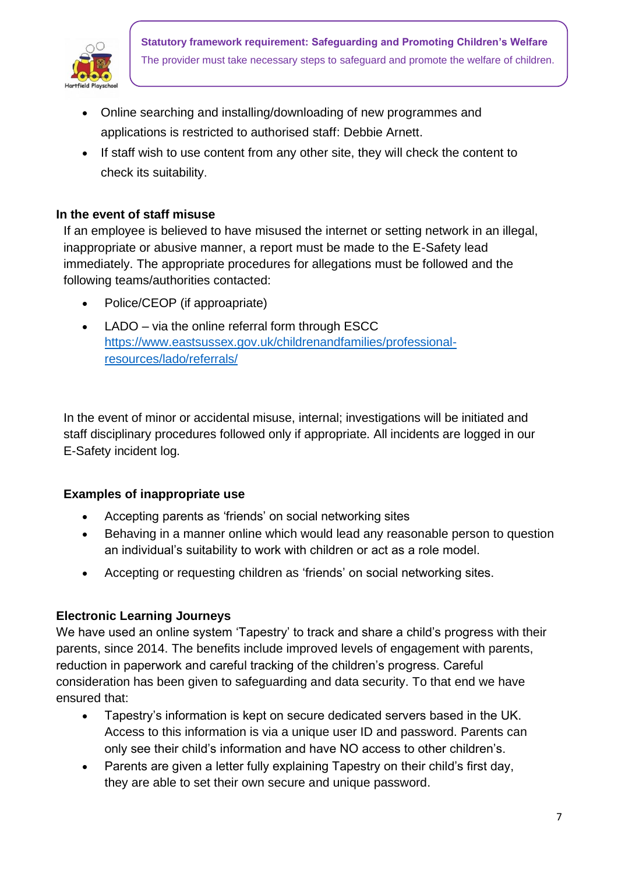

- Online searching and installing/downloading of new programmes and applications is restricted to authorised staff: Debbie Arnett.
- If staff wish to use content from any other site, they will check the content to check its suitability.

### **In the event of staff misuse**

If an employee is believed to have misused the internet or setting network in an illegal, inappropriate or abusive manner, a report must be made to the E-Safety lead immediately. The appropriate procedures for allegations must be followed and the following teams/authorities contacted:

- Police/CEOP (if approapriate)
- LADO via the online referral form through ESCC [https://www.eastsussex.gov.uk/childrenandfamilies/professional](https://www.eastsussex.gov.uk/childrenandfamilies/professional-resources/lado/referrals/)[resources/lado/referrals/](https://www.eastsussex.gov.uk/childrenandfamilies/professional-resources/lado/referrals/)

In the event of minor or accidental misuse, internal; investigations will be initiated and staff disciplinary procedures followed only if appropriate. All incidents are logged in our E-Safety incident log.

## **Examples of inappropriate use**

- Accepting parents as 'friends' on social networking sites
- Behaving in a manner online which would lead any reasonable person to question an individual's suitability to work with children or act as a role model.
- Accepting or requesting children as 'friends' on social networking sites.

### **Electronic Learning Journeys**

We have used an online system 'Tapestry' to track and share a child's progress with their parents, since 2014. The benefits include improved levels of engagement with parents, reduction in paperwork and careful tracking of the children's progress. Careful consideration has been given to safeguarding and data security. To that end we have ensured that:

- Tapestry's information is kept on secure dedicated servers based in the UK. Access to this information is via a unique user ID and password. Parents can only see their child's information and have NO access to other children's.
- Parents are given a letter fully explaining Tapestry on their child's first day, they are able to set their own secure and unique password.